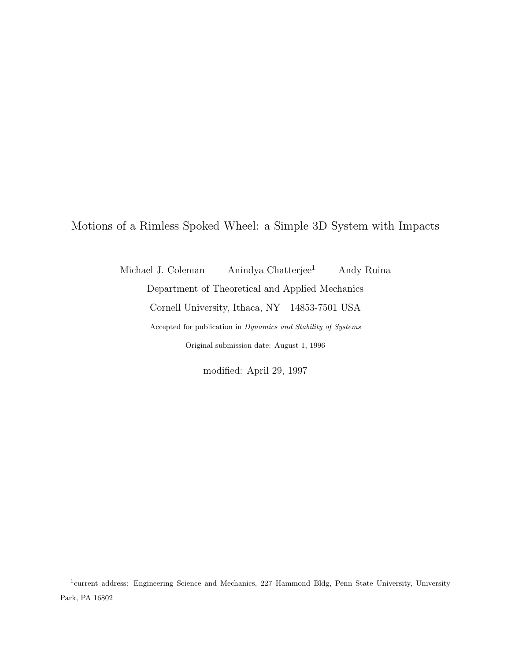Motions of a Rimless Spoked Wheel: a Simple 3D System with Impacts

Michael J. Coleman Anindya Chatterjee<sup>1</sup> Andy Ruina Department of Theoretical and Applied Mechanics Cornell University, Ithaca, NY 14853-7501 USA Accepted for publication in *Dynamics and Stability of Systems*

Original submission date: August 1, 1996

modified: April 29, 1997

<sup>&</sup>lt;sup>1</sup>current address: Engineering Science and Mechanics, 227 Hammond Bldg, Penn State University, University Park, PA 16802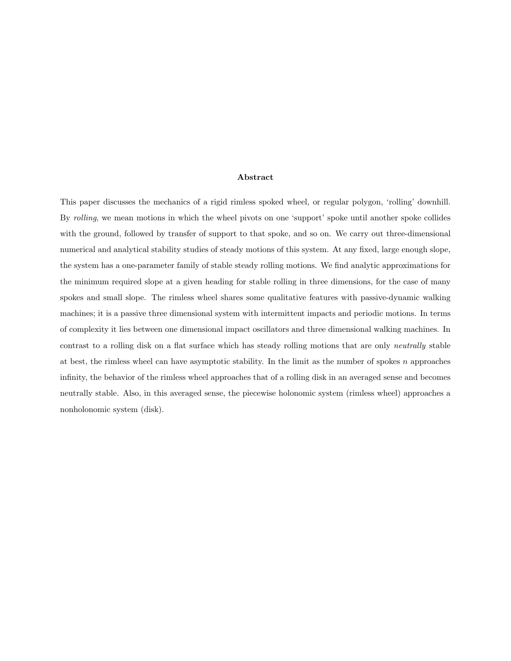### **Abstract**

This paper discusses the mechanics of a rigid rimless spoked wheel, or regular polygon, 'rolling' downhill. By rolling, we mean motions in which the wheel pivots on one 'support' spoke until another spoke collides with the ground, followed by transfer of support to that spoke, and so on. We carry out three-dimensional numerical and analytical stability studies of steady motions of this system. At any fixed, large enough slope, the system has a one-parameter family of stable steady rolling motions. We find analytic approximations for the minimum required slope at a given heading for stable rolling in three dimensions, for the case of many spokes and small slope. The rimless wheel shares some qualitative features with passive-dynamic walking machines; it is a passive three dimensional system with intermittent impacts and periodic motions. In terms of complexity it lies between one dimensional impact oscillators and three dimensional walking machines. In contrast to a rolling disk on a flat surface which has steady rolling motions that are only neutrally stable at best, the rimless wheel can have asymptotic stability. In the limit as the number of spokes *n* approaches infinity, the behavior of the rimless wheel approaches that of a rolling disk in an averaged sense and becomes neutrally stable. Also, in this averaged sense, the piecewise holonomic system (rimless wheel) approaches a nonholonomic system (disk).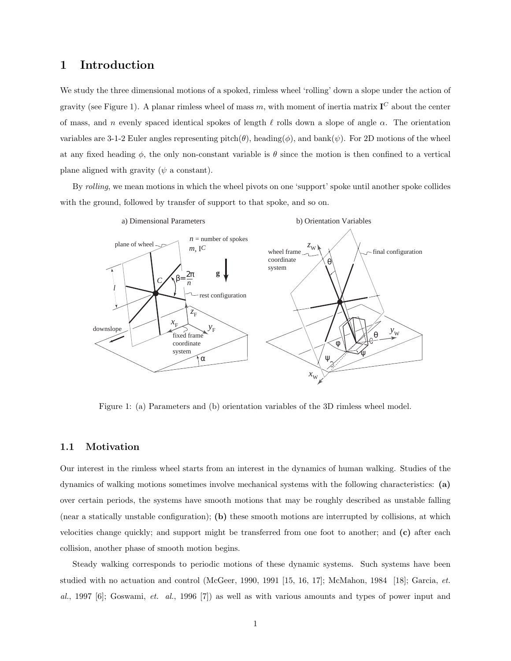## **1 Introduction**

We study the three dimensional motions of a spoked, rimless wheel 'rolling' down a slope under the action of gravity (see Figure 1). A planar rimless wheel of mass  $m$ , with moment of inertia matrix  $\mathbf{I}^C$  about the center of mass, and *n* evenly spaced identical spokes of length  $\ell$  rolls down a slope of angle  $\alpha$ . The orientation variables are 3-1-2 Euler angles representing pitch( $\theta$ ), heading( $\phi$ ), and bank( $\psi$ ). For 2D motions of the wheel at any fixed heading  $\phi$ , the only non-constant variable is  $\theta$  since the motion is then confined to a vertical plane aligned with gravity (*ψ* a constant).

By rolling, we mean motions in which the wheel pivots on one 'support' spoke until another spoke collides with the ground, followed by transfer of support to that spoke, and so on.



Figure 1: (a) Parameters and (b) orientation variables of the 3D rimless wheel model.

### **1.1 Motivation**

Our interest in the rimless wheel starts from an interest in the dynamics of human walking. Studies of the dynamics of walking motions sometimes involve mechanical systems with the following characteristics: **(a)** over certain periods, the systems have smooth motions that may be roughly described as unstable falling (near a statically unstable configuration); **(b)** these smooth motions are interrupted by collisions, at which velocities change quickly; and support might be transferred from one foot to another; and **(c)** after each collision, another phase of smooth motion begins.

Steady walking corresponds to periodic motions of these dynamic systems. Such systems have been studied with no actuation and control (McGeer, 1990, 1991 [15, 16, 17]; McMahon, 1984 [18]; Garcia, et.  $al.$ , 1997 [6]; Goswami, *et. al.*, 1996 [7]) as well as with various amounts and types of power input and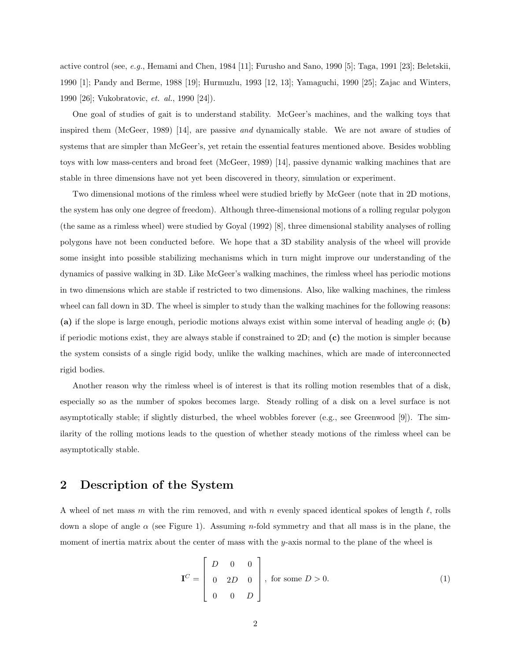active control (see, e.g., Hemami and Chen, 1984 [11]; Furusho and Sano, 1990 [5]; Taga, 1991 [23]; Beletskii, 1990 [1]; Pandy and Berme, 1988 [19]; Hurmuzlu, 1993 [12, 13]; Yamaguchi, 1990 [25]; Zajac and Winters, 1990 [26]; Vukobratovic, et. al., 1990 [24]).

One goal of studies of gait is to understand stability. McGeer's machines, and the walking toys that inspired them (McGeer, 1989) [14], are passive and dynamically stable. We are not aware of studies of systems that are simpler than McGeer's, yet retain the essential features mentioned above. Besides wobbling toys with low mass-centers and broad feet (McGeer, 1989) [14], passive dynamic walking machines that are stable in three dimensions have not yet been discovered in theory, simulation or experiment.

Two dimensional motions of the rimless wheel were studied briefly by McGeer (note that in 2D motions, the system has only one degree of freedom). Although three-dimensional motions of a rolling regular polygon (the same as a rimless wheel) were studied by Goyal (1992) [8], three dimensional stability analyses of rolling polygons have not been conducted before. We hope that a 3D stability analysis of the wheel will provide some insight into possible stabilizing mechanisms which in turn might improve our understanding of the dynamics of passive walking in 3D. Like McGeer's walking machines, the rimless wheel has periodic motions in two dimensions which are stable if restricted to two dimensions. Also, like walking machines, the rimless wheel can fall down in 3D. The wheel is simpler to study than the walking machines for the following reasons: **(a)** if the slope is large enough, periodic motions always exist within some interval of heading angle *φ*; **(b)** if periodic motions exist, they are always stable if constrained to 2D; and **(c)** the motion is simpler because the system consists of a single rigid body, unlike the walking machines, which are made of interconnected rigid bodies.

Another reason why the rimless wheel is of interest is that its rolling motion resembles that of a disk, especially so as the number of spokes becomes large. Steady rolling of a disk on a level surface is not asymptotically stable; if slightly disturbed, the wheel wobbles forever (e.g., see Greenwood [9]). The similarity of the rolling motions leads to the question of whether steady motions of the rimless wheel can be asymptotically stable.

# **2 Description of the System**

A wheel of net mass  $m$  with the rim removed, and with  $n$  evenly spaced identical spokes of length  $\ell$ , rolls down a slope of angle *α* (see Figure 1). Assuming *n*-fold symmetry and that all mass is in the plane, the moment of inertia matrix about the center of mass with the *y*-axis normal to the plane of the wheel is

$$
\mathbf{I}^C = \begin{bmatrix} D & 0 & 0 \\ 0 & 2D & 0 \\ 0 & 0 & D \end{bmatrix}, \text{ for some } D > 0.
$$
 (1)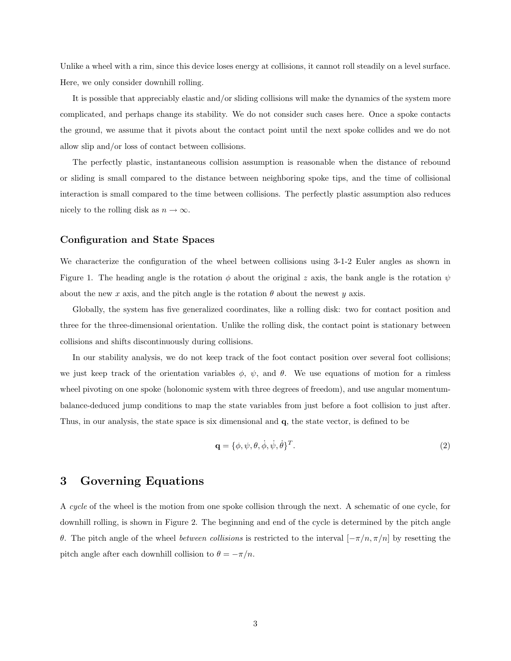Unlike a wheel with a rim, since this device loses energy at collisions, it cannot roll steadily on a level surface. Here, we only consider downhill rolling.

It is possible that appreciably elastic and/or sliding collisions will make the dynamics of the system more complicated, and perhaps change its stability. We do not consider such cases here. Once a spoke contacts the ground, we assume that it pivots about the contact point until the next spoke collides and we do not allow slip and/or loss of contact between collisions.

The perfectly plastic, instantaneous collision assumption is reasonable when the distance of rebound or sliding is small compared to the distance between neighboring spoke tips, and the time of collisional interaction is small compared to the time between collisions. The perfectly plastic assumption also reduces nicely to the rolling disk as  $n \to \infty$ .

## **Configuration and State Spaces**

We characterize the configuration of the wheel between collisions using 3-1-2 Euler angles as shown in Figure 1. The heading angle is the rotation  $\phi$  about the original *z* axis, the bank angle is the rotation  $\psi$ about the new *x* axis, and the pitch angle is the rotation  $\theta$  about the newest *y* axis.

Globally, the system has five generalized coordinates, like a rolling disk: two for contact position and three for the three-dimensional orientation. Unlike the rolling disk, the contact point is stationary between collisions and shifts discontinuously during collisions.

In our stability analysis, we do not keep track of the foot contact position over several foot collisions; we just keep track of the orientation variables  $\phi$ ,  $\psi$ , and  $\theta$ . We use equations of motion for a rimless wheel pivoting on one spoke (holonomic system with three degrees of freedom), and use angular momentumbalance-deduced jump conditions to map the state variables from just before a foot collision to just after. Thus, in our analysis, the state space is six dimensional and **q**, the state vector, is defined to be

$$
\mathbf{q} = \{\phi, \psi, \theta, \dot{\phi}, \dot{\psi}, \dot{\theta}\}^T. \tag{2}
$$

# **3 Governing Equations**

A cycle of the wheel is the motion from one spoke collision through the next. A schematic of one cycle, for downhill rolling, is shown in Figure 2. The beginning and end of the cycle is determined by the pitch angle *θ*. The pitch angle of the wheel between collisions is restricted to the interval  $[-\pi/n, \pi/n]$  by resetting the pitch angle after each downhill collision to  $\theta = -\pi/n$ .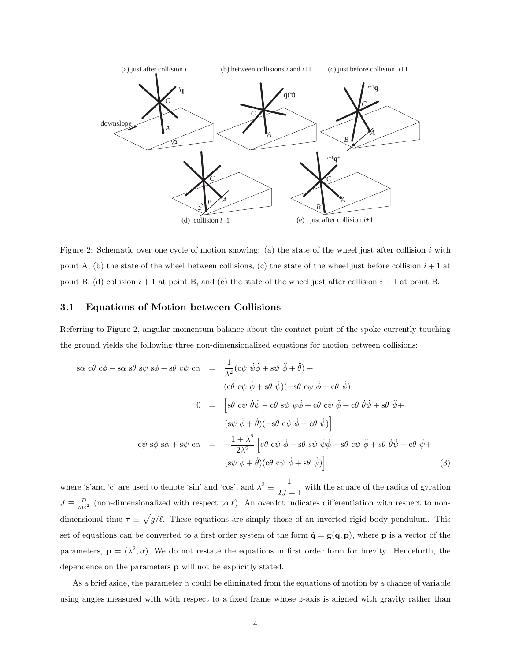

Figure 2: Schematic over one cycle of motion showing: (a) the state of the wheel just after collision *i* with point A, (b) the state of the wheel between collisions, (c) the state of the wheel just before collision  $i + 1$  at point B, (d) collision  $i + 1$  at point B, and (e) the state of the wheel just after collision  $i + 1$  at point B.

## **3.1 Equations of Motion between Collisions**

Referring to Figure 2, angular momentum balance about the contact point of the spoke currently touching the ground yields the following three non-dimensionalized equations for motion between collisions:

$$
s\alpha c\theta c\phi - s\alpha s\theta s\psi s\phi + s\theta c\psi c\alpha = \frac{1}{\lambda^2} (c\psi \dot{\psi}\dot{\phi} + s\psi \ddot{\phi} + \ddot{\theta}) +
$$
  
\n
$$
(c\theta c\psi \dot{\phi} + s\theta \dot{\psi})(-s\theta c\psi \dot{\phi} + c\theta \dot{\psi})
$$
  
\n
$$
0 = \left[s\theta c\psi \dot{\theta}\dot{\psi} - c\theta s\psi \dot{\psi}\dot{\phi} + c\theta c\psi \ddot{\phi} + c\theta \dot{\theta}\dot{\psi} + s\theta \ddot{\psi} +
$$
  
\n
$$
(s\psi \dot{\phi} + \dot{\theta})(-s\theta c\psi \dot{\phi} + c\theta \dot{\psi})\right]
$$
  
\n
$$
c\psi s\phi s\alpha + s\psi c\alpha = -\frac{1+\lambda^2}{2\lambda^2} \left[c\theta c\psi \dot{\phi} - s\theta s\psi \dot{\psi}\dot{\phi} + s\theta c\psi \ddot{\phi} + s\theta \dot{\theta}\dot{\psi} - c\theta \ddot{\psi} +
$$
  
\n
$$
(s\psi \dot{\phi} + \dot{\theta})(c\theta c\psi \dot{\phi} + s\theta \dot{\psi})\right]
$$
  
\n(3)

where 's'and 'c' are used to denote 'sin' and 'cos', and  $\lambda^2 = \frac{1}{2J+1}$  with the square of the radius of gyration  $J \equiv \frac{D}{m\ell^2}$  (non-dimensionalized with respect to  $\ell$ ). An overdot indicates differentiation with respect to nondimensional time  $\tau \equiv \sqrt{g/\ell}$ . These equations are simply those of an inverted rigid body pendulum. This set of equations can be converted to a first order system of the form  $\dot{\mathbf{q}} = \mathbf{g}(\mathbf{q}, \mathbf{p})$ , where **p** is a vector of the parameters,  $\mathbf{p} = (\lambda^2, \alpha)$ . We do not restate the equations in first order form for brevity. Henceforth, the dependence on the parameters **p** will not be explicitly stated.

As a brief aside, the parameter  $\alpha$  could be eliminated from the equations of motion by a change of variable using angles measured with with respect to a fixed frame whose *z*-axis is aligned with gravity rather than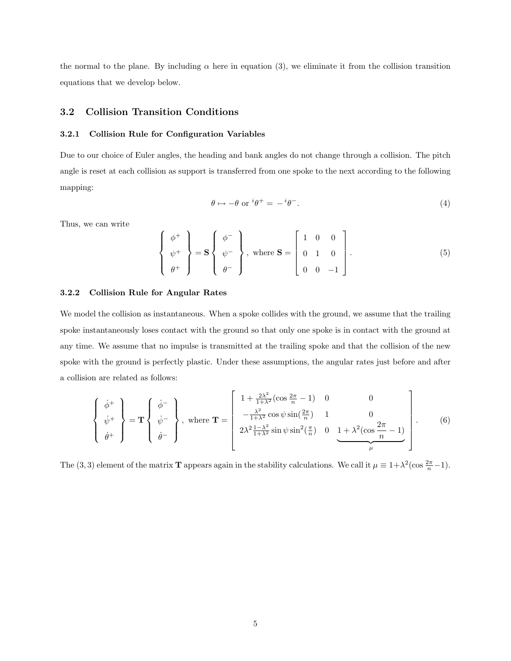the normal to the plane. By including  $\alpha$  here in equation (3), we eliminate it from the collision transition equations that we develop below.

## **3.2 Collision Transition Conditions**

### **3.2.1 Collision Rule for Configuration Variables**

Due to our choice of Euler angles, the heading and bank angles do not change through a collision. The pitch angle is reset at each collision as support is transferred from one spoke to the next according to the following mapping:

$$
\theta \mapsto -\theta \text{ or } ^i\theta^+ = -^i\theta^-.
$$
 (4)

Thus, we can write

$$
\left\{\begin{array}{c}\n\phi^+\\\
\psi^+\\\
\theta^+\n\end{array}\right\} = \mathbf{S}\left\{\begin{array}{c}\n\phi^-\\\
\psi^-\\\
\theta^-\n\end{array}\right\}, \text{ where } \mathbf{S} = \left[\begin{array}{ccc}\n1 & 0 & 0 \\
0 & 1 & 0 \\
0 & 0 & -1\n\end{array}\right].\n\tag{5}
$$

### **3.2.2 Collision Rule for Angular Rates**

We model the collision as instantaneous. When a spoke collides with the ground, we assume that the trailing spoke instantaneously loses contact with the ground so that only one spoke is in contact with the ground at any time. We assume that no impulse is transmitted at the trailing spoke and that the collision of the new spoke with the ground is perfectly plastic. Under these assumptions, the angular rates just before and after a collision are related as follows:

$$
\begin{Bmatrix} \dot{\phi}^{+} \\ \dot{\psi}^{+} \\ \dot{\theta}^{+} \end{Bmatrix} = \mathbf{T} \begin{Bmatrix} \dot{\phi}^{-} \\ \dot{\psi}^{-} \\ \dot{\theta}^{-} \end{Bmatrix}, \text{ where } \mathbf{T} = \begin{bmatrix} 1 + \frac{2\lambda^{2}}{1+\lambda^{2}}(\cos\frac{2\pi}{n} - 1) & 0 & 0 \\ -\frac{\lambda^{2}}{1+\lambda^{2}}\cos\psi\sin(\frac{2\pi}{n}) & 1 & 0 \\ 2\lambda^{2}\frac{1-\lambda^{2}}{1+\lambda^{2}}\sin\psi\sin^{2}(\frac{\pi}{n}) & 0 & \underbrace{1+\lambda^{2}(\cos\frac{2\pi}{n} - 1)}_{\mu} \end{bmatrix} . \tag{6}
$$

The (3, 3) element of the matrix **T** appears again in the stability calculations. We call it  $\mu \equiv 1 + \lambda^2(\cos \frac{2\pi}{n} - 1)$ .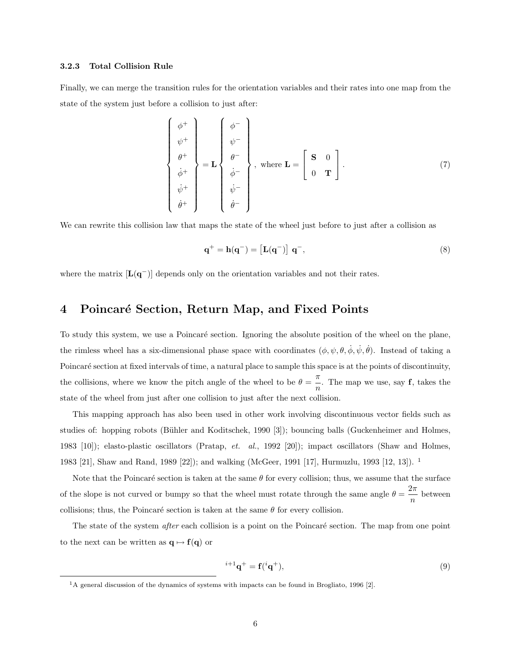### **3.2.3 Total Collision Rule**

Finally, we can merge the transition rules for the orientation variables and their rates into one map from the state of the system just before a collision to just after:

$$
\begin{Bmatrix}\n\phi^+\\\
\psi^+\\\
\phi^+\\\
\dot{\phi}^+\\\
\dot{\psi}^+\\\
\dot{\theta}^+\n\end{Bmatrix} = \mathbf{L} \begin{Bmatrix}\n\phi^-\\
\psi^-\\
\dot{\phi}^-\\
\dot{\phi}^-\\
\dot{\psi}^-\\\
\dot{\theta}^-\n\end{Bmatrix}, \text{ where } \mathbf{L} = \begin{bmatrix}\n\mathbf{S} & \mathbf{0} \\
\mathbf{0} & \mathbf{T}\n\end{bmatrix}.
$$
\n(7)

We can rewrite this collision law that maps the state of the wheel just before to just after a collision as

$$
\mathbf{q}^+ = \mathbf{h}(\mathbf{q}^-) = \begin{bmatrix} \mathbf{L}(\mathbf{q}^-) \end{bmatrix} \mathbf{q}^-, \tag{8}
$$

where the matrix [**L**(**q**−)] depends only on the orientation variables and not their rates.

# 4 Poincaré Section, Return Map, and Fixed Points

To study this system, we use a Poincaré section. Ignoring the absolute position of the wheel on the plane, the rimless wheel has a six-dimensional phase space with coordinates  $(\phi, \psi, \theta, \dot{\phi}, \dot{\psi}, \dot{\theta})$ . Instead of taking a Poincaré section at fixed intervals of time, a natural place to sample this space is at the points of discontinuity, the collisions, where we know the pitch angle of the wheel to be  $\theta = \frac{\pi}{n}$ . The map we use, say **f**, takes the state of the wheel from just after one collision to just after the next collision.

This mapping approach has also been used in other work involving discontinuous vector fields such as studies of: hopping robots (Bühler and Koditschek, 1990 [3]); bouncing balls (Guckenheimer and Holmes, 1983 [10]); elasto-plastic oscillators (Pratap, et. al., 1992 [20]); impact oscillators (Shaw and Holmes, 1983 [21], Shaw and Rand, 1989 [22]); and walking (McGeer, 1991 [17], Hurmuzlu, 1993 [12, 13]). <sup>1</sup>

Note that the Poincaré section is taken at the same  $\theta$  for every collision; thus, we assume that the surface of the slope is not curved or bumpy so that the wheel must rotate through the same angle  $\theta = \frac{2\pi}{n}$  between collisions; thus, the Poincaré section is taken at the same  $\theta$  for every collision.

The state of the system *after* each collision is a point on the Poincaré section. The map from one point to the next can be written as  $\mathbf{q} \mapsto \mathbf{f}(\mathbf{q})$  or

$$
e^{i+1}\mathbf{q}^+ = \mathbf{f}(i\mathbf{q}^+),\tag{9}
$$

<sup>&</sup>lt;sup>1</sup>A general discussion of the dynamics of systems with impacts can be found in Brogliato, 1996 [2].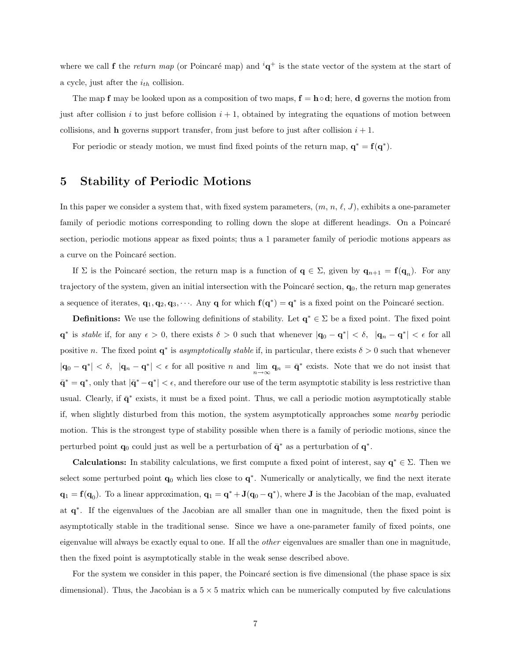where we call **f** the return map (or Poincaré map) and  ${}^{i}q^{+}$  is the state vector of the system at the start of a cycle, just after the *ith* collision.

The map **f** may be looked upon as a composition of two maps,  $\mathbf{f} = \mathbf{h} \circ \mathbf{d}$ ; here, **d** governs the motion from just after collision  $i$  to just before collision  $i + 1$ , obtained by integrating the equations of motion between collisions, and **h** governs support transfer, from just before to just after collision  $i + 1$ .

For periodic or steady motion, we must find fixed points of the return map,  $\mathbf{q}^* = \mathbf{f}(\mathbf{q}^*)$ .

## **5 Stability of Periodic Motions**

In this paper we consider a system that, with fixed system parameters,  $(m, n, \ell, J)$ , exhibits a one-parameter family of periodic motions corresponding to rolling down the slope at different headings. On a Poincaré section, periodic motions appear as fixed points; thus a 1 parameter family of periodic motions appears as a curve on the Poincaré section.

If  $\Sigma$  is the Poincaré section, the return map is a function of **q**  $\in \Sigma$ , given by **q**<sub>*n*+1</sub> = **f**(**q**<sub>*n*</sub>). For any trajectory of the system, given an initial intersection with the Poincar´e section, **q**0, the return map generates a sequence of iterates,  $\mathbf{q}_1, \mathbf{q}_2, \mathbf{q}_3, \cdots$ . Any **q** for which  $\mathbf{f}(\mathbf{q}^*) = \mathbf{q}^*$  is a fixed point on the Poincaré section.

**Definitions:** We use the following definitions of stability. Let  $\mathbf{q}^* \in \Sigma$  be a fixed point. The fixed point **q**<sup>\*</sup> is stable if, for any  $\epsilon > 0$ , there exists  $\delta > 0$  such that whenever  $|\mathbf{q}_0 - \mathbf{q}^*| < \delta$ ,  $|\mathbf{q}_n - \mathbf{q}^*| < \epsilon$  for all positive *n*. The fixed point  $q^*$  is asymptotically stable if, in particular, there exists  $\delta > 0$  such that whenever  $|\mathbf{q}_0 - \mathbf{q}^*| < \delta$ ,  $|\mathbf{q}_n - \mathbf{q}^*| < \epsilon$  for all positive *n* and  $\lim_{n\to\infty} \mathbf{q}_n = \bar{\mathbf{q}}^*$  exists. Note that we do not insist that  $\bar{\mathbf{q}}^* = \mathbf{q}^*$ , only that  $|\bar{\mathbf{q}}^* - \mathbf{q}^*| < \epsilon$ , and therefore our use of the term asymptotic stability is less restrictive than usual. Clearly, if  $\bar{\mathbf{q}}^*$  exists, it must be a fixed point. Thus, we call a periodic motion asymptotically stable if, when slightly disturbed from this motion, the system asymptotically approaches some nearby periodic motion. This is the strongest type of stability possible when there is a family of periodic motions, since the perturbed point  $\mathbf{q}_0$  could just as well be a perturbation of  $\mathbf{\bar{q}}^*$  as a perturbation of  $\mathbf{q}^*$ .

**Calculations:** In stability calculations, we first compute a fixed point of interest, say **q**<sup>∗</sup> ∈ Σ. Then we select some perturbed point **q**<sup>0</sup> which lies close to **q**∗. Numerically or analytically, we find the next iterate **q**<sub>1</sub> = **f**(**q**<sub>0</sub>). To a linear approximation, **q**<sub>1</sub> = **q**<sup>∗</sup> + **J**(**q**<sub>0</sub> − **q**<sup>∗</sup>), where **J** is the Jacobian of the map, evaluated at **q**∗. If the eigenvalues of the Jacobian are all smaller than one in magnitude, then the fixed point is asymptotically stable in the traditional sense. Since we have a one-parameter family of fixed points, one eigenvalue will always be exactly equal to one. If all the other eigenvalues are smaller than one in magnitude, then the fixed point is asymptotically stable in the weak sense described above.

For the system we consider in this paper, the Poincaré section is five dimensional (the phase space is six dimensional). Thus, the Jacobian is a  $5 \times 5$  matrix which can be numerically computed by five calculations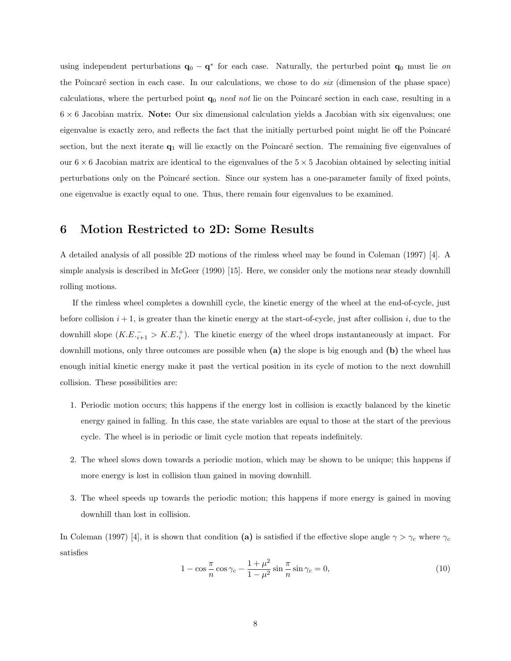using independent perturbations  $\mathbf{q}_0 - \mathbf{q}^*$  for each case. Naturally, the perturbed point  $\mathbf{q}_0$  must lie on the Poincaré section in each case. In our calculations, we chose to do  $six$  (dimension of the phase space) calculations, where the perturbed point  $q_0$  need not lie on the Poincaré section in each case, resulting in a 6 × 6 Jacobian matrix. **Note:** Our six dimensional calculation yields a Jacobian with six eigenvalues; one eigenvalue is exactly zero, and reflects the fact that the initially perturbed point might lie off the Poincaré section, but the next iterate  $q_1$  will lie exactly on the Poincaré section. The remaining five eigenvalues of our  $6 \times 6$  Jacobian matrix are identical to the eigenvalues of the  $5 \times 5$  Jacobian obtained by selecting initial perturbations only on the Poincar´e section. Since our system has a one-parameter family of fixed points, one eigenvalue is exactly equal to one. Thus, there remain four eigenvalues to be examined.

## **6 Motion Restricted to 2D: Some Results**

A detailed analysis of all possible 2D motions of the rimless wheel may be found in Coleman (1997) [4]. A simple analysis is described in McGeer (1990) [15]. Here, we consider only the motions near steady downhill rolling motions.

If the rimless wheel completes a downhill cycle, the kinetic energy of the wheel at the end-of-cycle, just before collision  $i + 1$ , is greater than the kinetic energy at the start-of-cycle, just after collision  $i$ , due to the downhill slope  $(K.E^{-}_{i+1} > K.E^{+}_{i}).$  The kinetic energy of the wheel drops instantaneously at impact. For downhill motions, only three outcomes are possible when **(a)** the slope is big enough and **(b)** the wheel has enough initial kinetic energy make it past the vertical position in its cycle of motion to the next downhill collision. These possibilities are:

- 1. Periodic motion occurs; this happens if the energy lost in collision is exactly balanced by the kinetic energy gained in falling. In this case, the state variables are equal to those at the start of the previous cycle. The wheel is in periodic or limit cycle motion that repeats indefinitely.
- 2. The wheel slows down towards a periodic motion, which may be shown to be unique; this happens if more energy is lost in collision than gained in moving downhill.
- 3. The wheel speeds up towards the periodic motion; this happens if more energy is gained in moving downhill than lost in collision.

In Coleman (1997) [4], it is shown that condition **(a)** is satisfied if the effective slope angle  $\gamma > \gamma_c$  where  $\gamma_c$ satisfies

$$
1 - \cos\frac{\pi}{n}\cos\gamma_c - \frac{1+\mu^2}{1-\mu^2}\sin\frac{\pi}{n}\sin\gamma_c = 0,
$$
\n(10)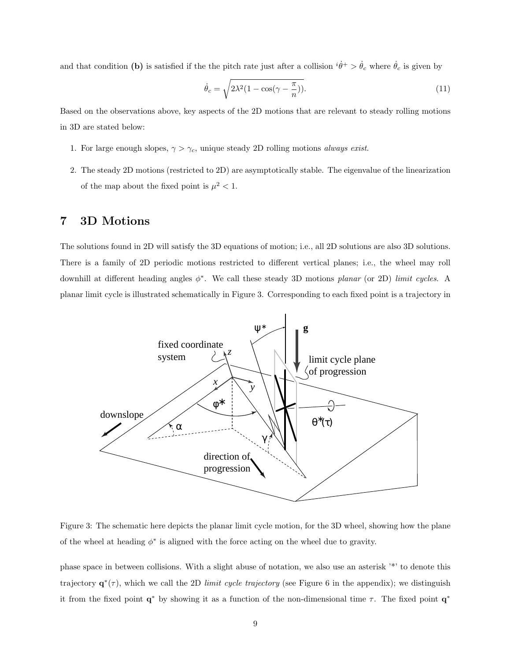and that condition (b) is satisfied if the the pitch rate just after a collision  $i\dot{\theta}^+ > \dot{\theta}_c$  where  $\dot{\theta}_c$  is given by

$$
\dot{\theta}_c = \sqrt{2\lambda^2 (1 - \cos(\gamma - \frac{\pi}{n}))}.\tag{11}
$$

Based on the observations above, key aspects of the 2D motions that are relevant to steady rolling motions in 3D are stated below:

- 1. For large enough slopes,  $\gamma > \gamma_c$ , unique steady 2D rolling motions *always exist.*
- 2. The steady 2D motions (restricted to 2D) are asymptotically stable. The eigenvalue of the linearization of the map about the fixed point is  $\mu^2 < 1$ .

# **7 3D Motions**

The solutions found in 2D will satisfy the 3D equations of motion; i.e., all 2D solutions are also 3D solutions. There is a family of 2D periodic motions restricted to different vertical planes; i.e., the wheel may roll downhill at different heading angles *φ*∗. We call these steady 3D motions planar (or 2D) limit cycles. A planar limit cycle is illustrated schematically in Figure 3. Corresponding to each fixed point is a trajectory in



Figure 3: The schematic here depicts the planar limit cycle motion, for the 3D wheel, showing how the plane of the wheel at heading  $\phi^*$  is aligned with the force acting on the wheel due to gravity.

phase space in between collisions. With a slight abuse of notation, we also use an asterisk '\*' to denote this trajectory  $\mathbf{q}^*(\tau)$ , which we call the 2D limit cycle trajectory (see Figure 6 in the appendix); we distinguish it from the fixed point **q**<sup>∗</sup> by showing it as a function of the non-dimensional time *τ* . The fixed point **q**<sup>∗</sup>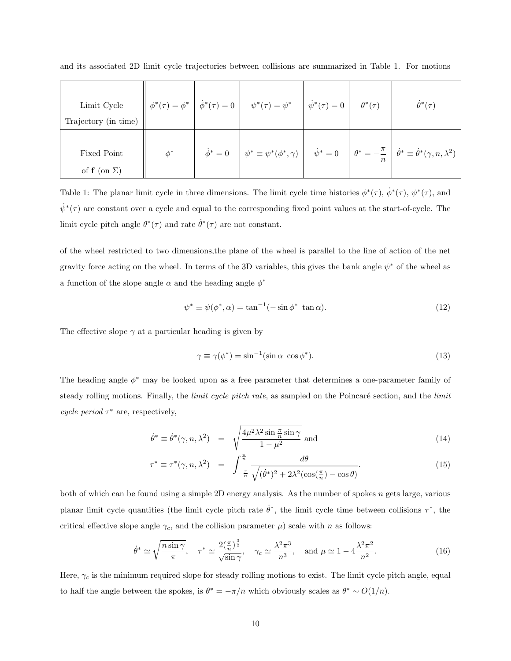| Limit Cycle<br>Trajectory (in time)  |          |                    | $\phi^*(\tau) = \phi^* \left  \phi^*(\tau) = 0 \right  \quad \psi^*(\tau) = \psi^* \left  \phi^*(\tau) = 0 \right $ | $\theta^*(\tau)$ | $\dot{\theta}^*(\tau)$                                                                                                                                                             |
|--------------------------------------|----------|--------------------|---------------------------------------------------------------------------------------------------------------------|------------------|------------------------------------------------------------------------------------------------------------------------------------------------------------------------------------|
| Fixed Point<br>of $f$ (on $\Sigma$ ) | $\phi^*$ | $\dot{\phi}^* = 0$ |                                                                                                                     |                  | $\begin{vmatrix} \psi^* \equiv \psi^*(\phi^*, \gamma) & \dot{\psi}^* = 0 & \theta^* = -\frac{\pi}{\mu} & \dot{\theta}^* \equiv \dot{\theta}^*(\gamma, n, \lambda^2) \end{vmatrix}$ |

and its associated 2D limit cycle trajectories between collisions are summarized in Table 1. For motions

Table 1: The planar limit cycle in three dimensions. The limit cycle time histories  $\phi^*(\tau)$ ,  $\dot{\phi}^*(\tau)$ ,  $\psi^*(\tau)$ , and  $\dot{\psi}^*(\tau)$  are constant over a cycle and equal to the corresponding fixed point values at the start-of-cycle. The limit cycle pitch angle  $\theta^*(\tau)$  and rate  $\dot{\theta}^*(\tau)$  are not constant.

of the wheel restricted to two dimensions,the plane of the wheel is parallel to the line of action of the net gravity force acting on the wheel. In terms of the 3D variables, this gives the bank angle *ψ*<sup>∗</sup> of the wheel as a function of the slope angle  $\alpha$  and the heading angle  $\phi^*$ 

$$
\psi^* \equiv \psi(\phi^*, \alpha) = \tan^{-1}(-\sin \phi^* \tan \alpha). \tag{12}
$$

The effective slope  $\gamma$  at a particular heading is given by

$$
\gamma \equiv \gamma(\phi^*) = \sin^{-1}(\sin \alpha \cos \phi^*). \tag{13}
$$

The heading angle *φ*<sup>∗</sup> may be looked upon as a free parameter that determines a one-parameter family of steady rolling motions. Finally, the *limit cycle pitch rate*, as sampled on the Poincaré section, and the *limit* cycle period  $\tau^*$  are, respectively,

$$
\dot{\theta}^* \equiv \dot{\theta}^*(\gamma, n, \lambda^2) = \sqrt{\frac{4\mu^2 \lambda^2 \sin \frac{\pi}{n} \sin \gamma}{1 - \mu^2}} \text{ and } \tag{14}
$$

$$
\tau^* \equiv \tau^*(\gamma, n, \lambda^2) = \int_{-\frac{\pi}{n}}^{\frac{\pi}{n}} \frac{d\theta}{\sqrt{(\dot{\theta}^*)^2 + 2\lambda^2(\cos(\frac{\pi}{n}) - \cos\theta)}}.
$$
(15)

both of which can be found using a simple 2D energy analysis. As the number of spokes *n* gets large, various planar limit cycle quantities (the limit cycle pitch rate  $\dot{\theta}^*$ , the limit cycle time between collisions  $\tau^*$ , the critical effective slope angle  $\gamma_c$ , and the collision parameter  $\mu$ ) scale with *n* as follows:

$$
\dot{\theta}^* \simeq \sqrt{\frac{n \sin \gamma}{\pi}}, \quad \tau^* \simeq \frac{2(\frac{\pi}{n})^{\frac{3}{2}}}{\sqrt{\sin \gamma}}, \quad \gamma_c \simeq \frac{\lambda^2 \pi^3}{n^3}, \quad \text{and } \mu \simeq 1 - 4\frac{\lambda^2 \pi^2}{n^2}.\tag{16}
$$

Here,  $\gamma_c$  is the minimum required slope for steady rolling motions to exist. The limit cycle pitch angle, equal to half the angle between the spokes, is  $\theta^* = -\pi/n$  which obviously scales as  $\theta^* \sim O(1/n)$ .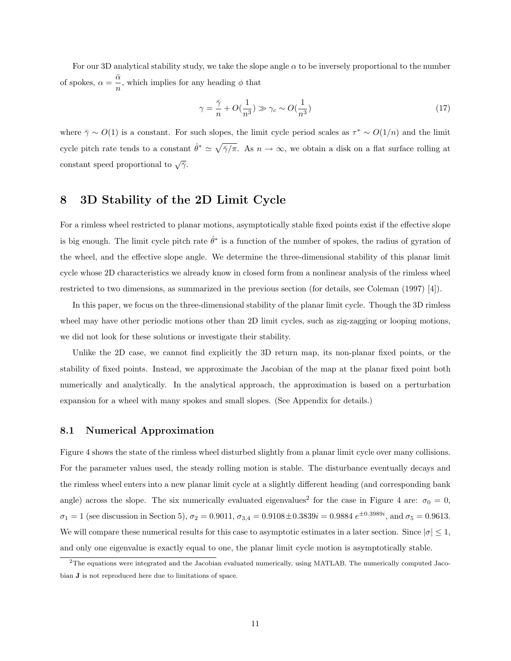For our 3D analytical stability study, we take the slope angle *α* to be inversely proportional to the number of spokes,  $\alpha = \frac{\bar{\alpha}}{n}$ , which implies for any heading  $\phi$  that

$$
\gamma = \frac{\bar{\gamma}}{n} + O(\frac{1}{n^3}) \gg \gamma_c \sim O(\frac{1}{n^3})
$$
\n(17)

where  $\bar{\gamma} \sim O(1)$  is a constant. For such slopes, the limit cycle period scales as  $\tau^* \sim O(1/n)$  and the limit cycle pitch rate tends to a constant  $\dot{\theta}^* \simeq \sqrt{\frac{\gamma}{n}}$ . As  $n \to \infty$ , we obtain a disk on a flat surface rolling at constant speed proportional to  $\sqrt{7}$ .

# **8 3D Stability of the 2D Limit Cycle**

For a rimless wheel restricted to planar motions, asymptotically stable fixed points exist if the effective slope is big enough. The limit cycle pitch rate  $\dot{\theta}^*$  is a function of the number of spokes, the radius of gyration of the wheel, and the effective slope angle. We determine the three-dimensional stability of this planar limit cycle whose 2D characteristics we already know in closed form from a nonlinear analysis of the rimless wheel restricted to two dimensions, as summarized in the previous section (for details, see Coleman (1997) [4]).

In this paper, we focus on the three-dimensional stability of the planar limit cycle. Though the 3D rimless wheel may have other periodic motions other than 2D limit cycles, such as zig-zagging or looping motions, we did not look for these solutions or investigate their stability.

Unlike the 2D case, we cannot find explicitly the 3D return map, its non-planar fixed points, or the stability of fixed points. Instead, we approximate the Jacobian of the map at the planar fixed point both numerically and analytically. In the analytical approach, the approximation is based on a perturbation expansion for a wheel with many spokes and small slopes. (See Appendix for details.)

### **8.1 Numerical Approximation**

Figure 4 shows the state of the rimless wheel disturbed slightly from a planar limit cycle over many collisions. For the parameter values used, the steady rolling motion is stable. The disturbance eventually decays and the rimless wheel enters into a new planar limit cycle at a slightly different heading (and corresponding bank angle) across the slope. The six numerically evaluated eigenvalues<sup>2</sup> for the case in Figure 4 are:  $\sigma_0 = 0$ ,  $\sigma_1 = 1$  (see discussion in Section 5),  $\sigma_2 = 0.9011$ ,  $\sigma_{3,4} = 0.9108 \pm 0.3839i = 0.9884 e^{\pm 0.3989i}$ , and  $\sigma_5 = 0.9613$ . We will compare these numerical results for this case to asymptotic estimates in a later section. Since  $|\sigma| \leq 1$ , and only one eigenvalue is exactly equal to one, the planar limit cycle motion is asymptotically stable.

<sup>&</sup>lt;sup>2</sup>The equations were integrated and the Jacobian evaluated numerically, using MATLAB. The numerically computed Jacobian **J** is not reproduced here due to limitations of space.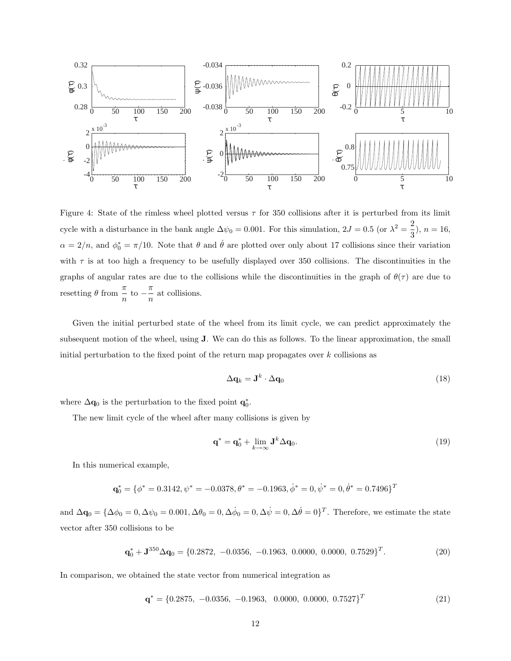

Figure 4: State of the rimless wheel plotted versus *τ* for 350 collisions after it is perturbed from its limit cycle with a disturbance in the bank angle  $\Delta\psi_0 = 0.001$ . For this simulation,  $2J = 0.5$  (or  $\lambda^2 = \frac{2}{3}$ ),  $n = 16$ ,  $\alpha = 2/n$ , and  $\phi_0^* = \pi/10$ . Note that  $\theta$  and  $\dot{\theta}$  are plotted over only about 17 collisions since their variation with  $\tau$  is at too high a frequency to be usefully displayed over 350 collisions. The discontinuities in the graphs of angular rates are due to the collisions while the discontinuities in the graph of  $\theta(\tau)$  are due to resetting  $\theta$  from  $\frac{\pi}{n}$  to  $-\frac{\pi}{n}$  at collisions.

Given the initial perturbed state of the wheel from its limit cycle, we can predict approximately the subsequent motion of the wheel, using **J**. We can do this as follows. To the linear approximation, the small initial perturbation to the fixed point of the return map propagates over *k* collisions as

$$
\Delta \mathbf{q}_k = \mathbf{J}^k \cdot \Delta \mathbf{q}_0 \tag{18}
$$

where  $\Delta \mathbf{q}_0$  is the perturbation to the fixed point  $\mathbf{q}_0^*$ .

The new limit cycle of the wheel after many collisions is given by

$$
\mathbf{q}^* = \mathbf{q}_0^* + \lim_{k \to \infty} \mathbf{J}^k \Delta \mathbf{q}_0. \tag{19}
$$

In this numerical example,

$$
\mathbf{q}_0^* = \{ \phi^* = 0.3142, \psi^* = -0.0378, \theta^* = -0.1963, \dot{\phi}^* = 0, \dot{\psi}^* = 0, \dot{\theta}^* = 0.7496 \}^T
$$

and  $\Delta \mathbf{q}_0 = {\Delta \phi_0 = 0, \Delta \psi_0 = 0.001, \Delta \theta_0 = 0, \Delta \dot{\phi}_0 = 0, \Delta \dot{\psi} = 0, \Delta \dot{\theta} = 0}^T$ . Therefore, we estimate the state vector after 350 collisions to be

$$
\mathbf{q}_0^* + \mathbf{J}^{350} \Delta \mathbf{q}_0 = \{0.2872, -0.0356, -0.1963, 0.0000, 0.0000, 0.7529\}^T.
$$
 (20)

In comparison, we obtained the state vector from numerical integration as

$$
\mathbf{q}^* = \{0.2875, -0.0356, -0.1963, 0.0000, 0.0000, 0.7527\}^T
$$
\n(21)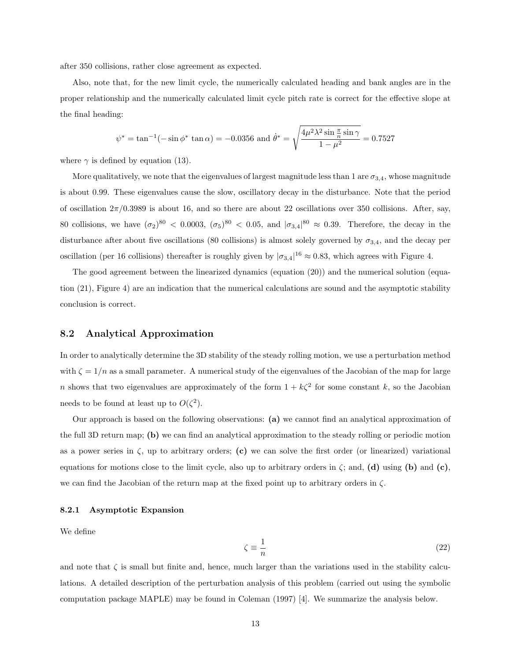after 350 collisions, rather close agreement as expected.

Also, note that, for the new limit cycle, the numerically calculated heading and bank angles are in the proper relationship and the numerically calculated limit cycle pitch rate is correct for the effective slope at the final heading:

$$
\psi^* = \tan^{-1}(-\sin\phi^* \tan\alpha) = -0.0356 \text{ and } \dot{\theta}^* = \sqrt{\frac{4\mu^2\lambda^2\sin\frac{\pi}{n}\sin\gamma}{1-\mu^2}} = 0.7527
$$

where  $\gamma$  is defined by equation (13).

More qualitatively, we note that the eigenvalues of largest magnitude less than 1 are  $\sigma_{3,4}$ , whose magnitude is about 0.99. These eigenvalues cause the slow, oscillatory decay in the disturbance. Note that the period of oscillation  $2\pi/0.3989$  is about 16, and so there are about 22 oscillations over 350 collisions. After, say, 80 collisions, we have  $(\sigma_2)^{80} < 0.0003$ ,  $(\sigma_5)^{80} < 0.05$ , and  $|\sigma_{3,4}|^{80} \approx 0.39$ . Therefore, the decay in the disturbance after about five oscillations (80 collisions) is almost solely governed by  $\sigma_{3,4}$ , and the decay per oscillation (per 16 collisions) thereafter is roughly given by  $|\sigma_{3,4}|^{16} \approx 0.83$ , which agrees with Figure 4.

The good agreement between the linearized dynamics (equation (20)) and the numerical solution (equation (21), Figure 4) are an indication that the numerical calculations are sound and the asymptotic stability conclusion is correct.

### **8.2 Analytical Approximation**

In order to analytically determine the 3D stability of the steady rolling motion, we use a perturbation method with  $\zeta = 1/n$  as a small parameter. A numerical study of the eigenvalues of the Jacobian of the map for large *n* shows that two eigenvalues are approximately of the form  $1 + k\zeta^2$  for some constant *k*, so the Jacobian needs to be found at least up to  $O(\zeta^2)$ .

Our approach is based on the following observations: **(a)** we cannot find an analytical approximation of the full 3D return map; **(b)** we can find an analytical approximation to the steady rolling or periodic motion as a power series in  $\zeta$ , up to arbitrary orders; (c) we can solve the first order (or linearized) variational equations for motions close to the limit cycle, also up to arbitrary orders in *ζ*; and, **(d)** using **(b)** and **(c)**, we can find the Jacobian of the return map at the fixed point up to arbitrary orders in *ζ*.

#### **8.2.1 Asymptotic Expansion**

We define

$$
\zeta \equiv \frac{1}{n} \tag{22}
$$

and note that  $\zeta$  is small but finite and, hence, much larger than the variations used in the stability calculations. A detailed description of the perturbation analysis of this problem (carried out using the symbolic computation package MAPLE) may be found in Coleman (1997) [4]. We summarize the analysis below.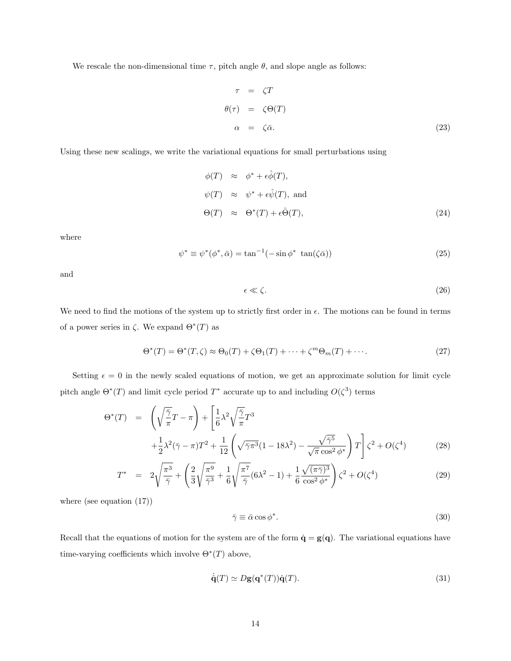We rescale the non-dimensional time  $\tau$ , pitch angle  $\theta$ , and slope angle as follows:

$$
\tau = \zeta T
$$
  
\n
$$
\theta(\tau) = \zeta \Theta(T)
$$
  
\n
$$
\alpha = \zeta \bar{\alpha}.
$$
\n(23)

Using these new scalings, we write the variational equations for small perturbations using

$$
\begin{aligned}\n\phi(T) &\approx \phi^* + \epsilon \hat{\phi}(T), \\
\psi(T) &\approx \psi^* + \epsilon \hat{\psi}(T), \text{ and} \\
\Theta(T) &\approx \Theta^*(T) + \epsilon \hat{\Theta}(T),\n\end{aligned} \tag{24}
$$

where

$$
\psi^* \equiv \psi^*(\phi^*, \bar{\alpha}) = \tan^{-1}(-\sin \phi^* \tan(\zeta \bar{\alpha})) \tag{25}
$$

and

$$
\epsilon \ll \zeta. \tag{26}
$$

We need to find the motions of the system up to strictly first order in  $\epsilon$ . The motions can be found in terms of a power series in  $\zeta$ . We expand  $\Theta^*(T)$  as

$$
\Theta^*(T) = \Theta^*(T,\zeta) \approx \Theta_0(T) + \zeta \Theta_1(T) + \dots + \zeta^m \Theta_m(T) + \dots
$$
\n(27)

Setting  $\epsilon = 0$  in the newly scaled equations of motion, we get an approximate solution for limit cycle pitch angle  $\Theta^*(T)$  and limit cycle period  $T^*$  accurate up to and including  $O(\zeta^3)$  terms

$$
\Theta^*(T) = \left(\sqrt{\frac{\overline{\gamma}}{\pi}}T - \pi\right) + \left[\frac{1}{6}\lambda^2\sqrt{\frac{\overline{\gamma}}{\pi}}T^3 + \frac{1}{2}\lambda^2(\overline{\gamma}-\pi)T^2 + \frac{1}{12}\left(\sqrt{\overline{\gamma}\pi^3}(1-18\lambda^2) - \frac{\sqrt{\overline{\gamma}^5}}{\sqrt{\pi}\cos^2\phi^*}\right)T\right]\zeta^2 + O(\zeta^4)
$$
(28)

$$
T^* = 2\sqrt{\frac{\pi^3}{\bar{\gamma}}} + \left(\frac{2}{3}\sqrt{\frac{\pi^9}{\bar{\gamma}^3}} + \frac{1}{6}\sqrt{\frac{\pi^7}{\bar{\gamma}}}(6\lambda^2 - 1) + \frac{1}{6}\frac{\sqrt{(\pi\bar{\gamma})^3}}{\cos^2\phi^*}\right)\zeta^2 + O(\zeta^4)
$$
(29)

where (see equation (17))

$$
\bar{\gamma} \equiv \bar{\alpha}\cos\phi^*.\tag{30}
$$

Recall that the equations of motion for the system are of the form  $\dot{\mathbf{q}} = \mathbf{g}(\mathbf{q})$ . The variational equations have time-varying coefficients which involve  $\Theta^*(T)$  above,

$$
\dot{\mathbf{q}}(T) \simeq D\mathbf{g}(\mathbf{q}^*(T))\dot{\mathbf{q}}(T). \tag{31}
$$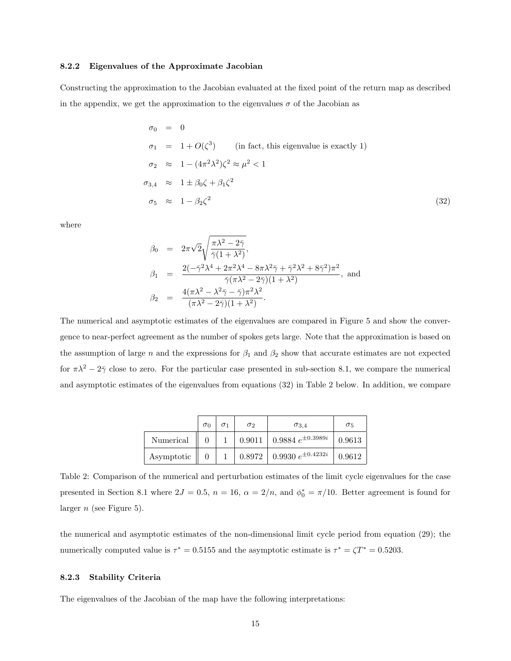### **8.2.2 Eigenvalues of the Approximate Jacobian**

Constructing the approximation to the Jacobian evaluated at the fixed point of the return map as described in the appendix, we get the approximation to the eigenvalues  $\sigma$  of the Jacobian as

$$
\sigma_0 = 0
$$
  
\n
$$
\sigma_1 = 1 + O(\zeta^3) \qquad \text{(in fact, this eigenvalue is exactly 1)}
$$
  
\n
$$
\sigma_2 \approx 1 - (4\pi^2 \lambda^2) \zeta^2 \approx \mu^2 < 1
$$
  
\n
$$
\sigma_{3,4} \approx 1 \pm \beta_0 \zeta + \beta_1 \zeta^2
$$
  
\n
$$
\sigma_5 \approx 1 - \beta_2 \zeta^2 \qquad (32)
$$

where

$$
\beta_0 = 2\pi\sqrt{2}\sqrt{\frac{\pi\lambda^2 - 2\bar{\gamma}}{\bar{\gamma}(1 + \lambda^2)}},
$$
  
\n
$$
\beta_1 = \frac{2(-\bar{\gamma}^2\lambda^4 + 2\pi^2\lambda^4 - 8\pi\lambda^2\bar{\gamma} + \bar{\gamma}^2\lambda^2 + 8\bar{\gamma}^2)\pi^2}{\bar{\gamma}(\pi\lambda^2 - 2\bar{\gamma})(1 + \lambda^2)},
$$
 and  
\n
$$
\beta_2 = \frac{4(\pi\lambda^2 - \lambda^2\bar{\gamma} - \bar{\gamma})\pi^2\lambda^2}{(\pi\lambda^2 - 2\bar{\gamma})(1 + \lambda^2)}.
$$

The numerical and asymptotic estimates of the eigenvalues are compared in Figure 5 and show the convergence to near-perfect agreement as the number of spokes gets large. Note that the approximation is based on the assumption of large *n* and the expressions for  $\beta_1$  and  $\beta_2$  show that accurate estimates are not expected for  $\pi \lambda^2 - 2\bar{\gamma}$  close to zero. For the particular case presented in sub-section 8.1, we compare the numerical and asymptotic estimates of the eigenvalues from equations (32) in Table 2 below. In addition, we compare

|            | $\sigma_0$ | $\sigma_2$ | $\sigma_{3.4}$                    | $\sigma_5$ |
|------------|------------|------------|-----------------------------------|------------|
| Numerical  |            |            | 0.9011   0.9884 $e^{\pm 0.3989i}$ | 0.9613     |
| Asymptotic |            |            | 0.8972   0.9930 $e^{\pm 0.4232i}$ | 0.9612     |

Table 2: Comparison of the numerical and perturbation estimates of the limit cycle eigenvalues for the case presented in Section 8.1 where  $2J = 0.5$ ,  $n = 16$ ,  $\alpha = 2/n$ , and  $\phi_0^* = \pi/10$ . Better agreement is found for larger *n* (see Figure 5).

the numerical and asymptotic estimates of the non-dimensional limit cycle period from equation (29); the numerically computed value is  $\tau^* = 0.5155$  and the asymptotic estimate is  $\tau^* = \zeta T^* = 0.5203$ .

### **8.2.3 Stability Criteria**

The eigenvalues of the Jacobian of the map have the following interpretations: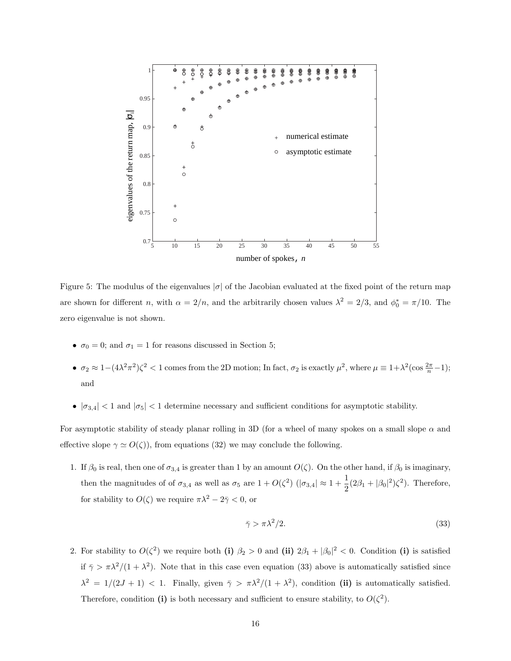

Figure 5: The modulus of the eigenvalues  $|\sigma|$  of the Jacobian evaluated at the fixed point of the return map are shown for different *n*, with  $\alpha = 2/n$ , and the arbitrarily chosen values  $\lambda^2 = 2/3$ , and  $\phi_0^* = \pi/10$ . The zero eigenvalue is not shown.

- $\sigma_0 = 0$ ; and  $\sigma_1 = 1$  for reasons discussed in Section 5;
- $\bullet$  *σ*<sub>2</sub> ≈ 1−(4 $\lambda^2 \pi^2$ ) $\zeta^2$  < 1 comes from the 2D motion; In fact, *σ*<sub>2</sub> is exactly  $\mu^2$ , where  $\mu \equiv 1 + \lambda^2$ (cos  $\frac{2\pi}{n} 1$ ); and
- $|\sigma_{3,4}|$  < 1 and  $|\sigma_5|$  < 1 determine necessary and sufficient conditions for asymptotic stability.

For asymptotic stability of steady planar rolling in 3D (for a wheel of many spokes on a small slope *α* and effective slope  $\gamma \simeq O(\zeta)$ , from equations (32) we may conclude the following.

1. If  $\beta_0$  is real, then one of  $\sigma_{3,4}$  is greater than 1 by an amount  $O(\zeta)$ . On the other hand, if  $\beta_0$  is imaginary, then the magnitudes of of  $\sigma_{3,4}$  as well as  $\sigma_5$  are  $1 + O(\zeta^2)$  ( $|\sigma_{3,4}| \approx 1 + \frac{1}{2}$  $\frac{1}{2}(2\beta_1+|\beta_0|^2)\zeta^2$ ). Therefore, for stability to  $O(\zeta)$  we require  $\pi \lambda^2 - 2\bar{\gamma} < 0$ , or

$$
\bar{\gamma} > \pi \lambda^2 / 2. \tag{33}
$$

2. For stability to  $O(\zeta^2)$  we require both (i)  $\beta_2 > 0$  and (ii)  $2\beta_1 + |\beta_0|^2 < 0$ . Condition (i) is satisfied if  $\bar{\gamma} > \pi \lambda^2/(1 + \lambda^2)$ . Note that in this case even equation (33) above is automatically satisfied since  $\lambda^2 = 1/(2J + 1) < 1$ . Finally, given  $\bar{\gamma} > \pi \lambda^2/(1 + \lambda^2)$ , condition (ii) is automatically satisfied. Therefore, condition (i) is both necessary and sufficient to ensure stability, to  $O(\zeta^2)$ .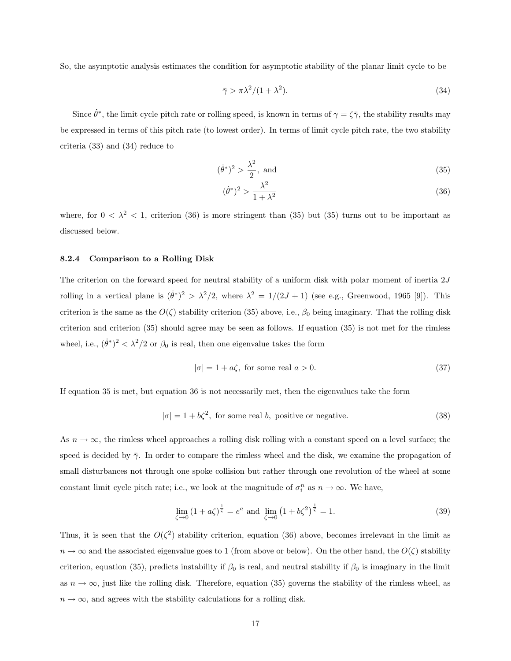So, the asymptotic analysis estimates the condition for asymptotic stability of the planar limit cycle to be

$$
\bar{\gamma} > \pi \lambda^2 / (1 + \lambda^2). \tag{34}
$$

Since  $\dot{\theta}^*$ , the limit cycle pitch rate or rolling speed, is known in terms of  $\gamma = \zeta \bar{\gamma}$ , the stability results may be expressed in terms of this pitch rate (to lowest order). In terms of limit cycle pitch rate, the two stability criteria (33) and (34) reduce to

$$
(\dot{\theta}^*)^2 > \frac{\lambda^2}{2}, \text{ and} \tag{35}
$$

$$
(\dot{\theta}^*)^2 > \frac{\lambda^2}{1 + \lambda^2} \tag{36}
$$

where, for  $0 < \lambda^2 < 1$ , criterion (36) is more stringent than (35) but (35) turns out to be important as discussed below.

#### **8.2.4 Comparison to a Rolling Disk**

The criterion on the forward speed for neutral stability of a uniform disk with polar moment of inertia 2*J* rolling in a vertical plane is  $(\dot{\theta}^*)^2 > \lambda^2/2$ , where  $\lambda^2 = 1/(2J + 1)$  (see e.g., Greenwood, 1965 [9]). This criterion is the same as the  $O(\zeta)$  stability criterion (35) above, i.e.,  $\beta_0$  being imaginary. That the rolling disk criterion and criterion (35) should agree may be seen as follows. If equation (35) is not met for the rimless wheel, i.e.,  $(\dot{\theta}^*)^2 < \lambda^2/2$  or  $\beta_0$  is real, then one eigenvalue takes the form

$$
|\sigma| = 1 + a\zeta, \text{ for some real } a > 0. \tag{37}
$$

If equation 35 is met, but equation 36 is not necessarily met, then the eigenvalues take the form

$$
|\sigma| = 1 + b\zeta^2
$$
, for some real b, positive or negative. (38)

As  $n \to \infty$ , the rimless wheel approaches a rolling disk rolling with a constant speed on a level surface; the speed is decided by  $\bar{\gamma}$ . In order to compare the rimless wheel and the disk, we examine the propagation of small disturbances not through one spoke collision but rather through one revolution of the wheel at some constant limit cycle pitch rate; i.e., we look at the magnitude of  $\sigma_i^n$  as  $n \to \infty$ . We have,

$$
\lim_{\zeta \to 0} (1 + a\zeta)^{\frac{1}{\zeta}} = e^a \text{ and } \lim_{\zeta \to 0} (1 + b\zeta^2)^{\frac{1}{\zeta}} = 1.
$$
 (39)

Thus, it is seen that the  $O(\zeta^2)$  stability criterion, equation (36) above, becomes irrelevant in the limit as  $n \to \infty$  and the associated eigenvalue goes to 1 (from above or below). On the other hand, the  $O(\zeta)$  stability criterion, equation (35), predicts instability if  $\beta_0$  is real, and neutral stability if  $\beta_0$  is imaginary in the limit as  $n \to \infty$ , just like the rolling disk. Therefore, equation (35) governs the stability of the rimless wheel, as  $n \to \infty$ , and agrees with the stability calculations for a rolling disk.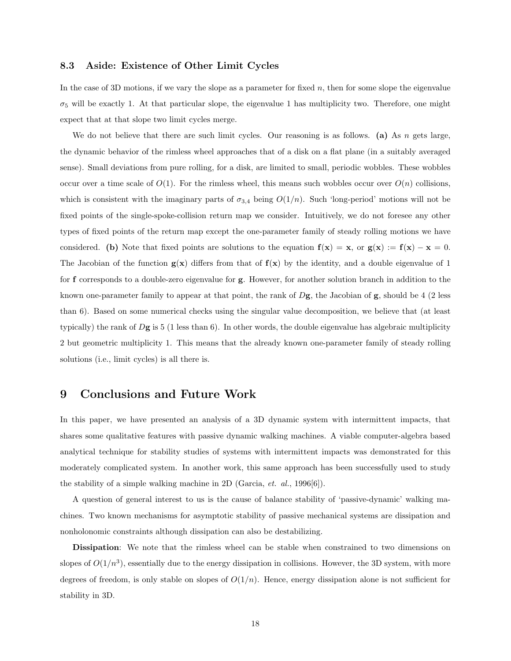### **8.3 Aside: Existence of Other Limit Cycles**

In the case of 3D motions, if we vary the slope as a parameter for fixed *n*, then for some slope the eigenvalue  $\sigma_5$  will be exactly 1. At that particular slope, the eigenvalue 1 has multiplicity two. Therefore, one might expect that at that slope two limit cycles merge.

We do not believe that there are such limit cycles. Our reasoning is as follows. **(a)** As *n* gets large, the dynamic behavior of the rimless wheel approaches that of a disk on a flat plane (in a suitably averaged sense). Small deviations from pure rolling, for a disk, are limited to small, periodic wobbles. These wobbles occur over a time scale of  $O(1)$ . For the rimless wheel, this means such wobbles occur over  $O(n)$  collisions, which is consistent with the imaginary parts of  $\sigma_{3,4}$  being  $O(1/n)$ . Such 'long-period' motions will not be fixed points of the single-spoke-collision return map we consider. Intuitively, we do not foresee any other types of fixed points of the return map except the one-parameter family of steady rolling motions we have considered. **(b)** Note that fixed points are solutions to the equation  $f(x) = x$ , or  $g(x) := f(x) - x = 0$ . The Jacobian of the function  $g(x)$  differs from that of  $f(x)$  by the identity, and a double eigenvalue of 1 for **f** corresponds to a double-zero eigenvalue for **g**. However, for another solution branch in addition to the known one-parameter family to appear at that point, the rank of *D***g**, the Jacobian of **g**, should be 4 (2 less than 6). Based on some numerical checks using the singular value decomposition, we believe that (at least typically) the rank of *D***g** is 5 (1 less than 6). In other words, the double eigenvalue has algebraic multiplicity 2 but geometric multiplicity 1. This means that the already known one-parameter family of steady rolling solutions (i.e., limit cycles) is all there is.

## **9 Conclusions and Future Work**

In this paper, we have presented an analysis of a 3D dynamic system with intermittent impacts, that shares some qualitative features with passive dynamic walking machines. A viable computer-algebra based analytical technique for stability studies of systems with intermittent impacts was demonstrated for this moderately complicated system. In another work, this same approach has been successfully used to study the stability of a simple walking machine in 2D (Garcia, *et. al.*, 1996[6]).

A question of general interest to us is the cause of balance stability of 'passive-dynamic' walking machines. Two known mechanisms for asymptotic stability of passive mechanical systems are dissipation and nonholonomic constraints although dissipation can also be destabilizing.

**Dissipation**: We note that the rimless wheel can be stable when constrained to two dimensions on slopes of  $O(1/n^3)$ , essentially due to the energy dissipation in collisions. However, the 3D system, with more degrees of freedom, is only stable on slopes of  $O(1/n)$ . Hence, energy dissipation alone is not sufficient for stability in 3D.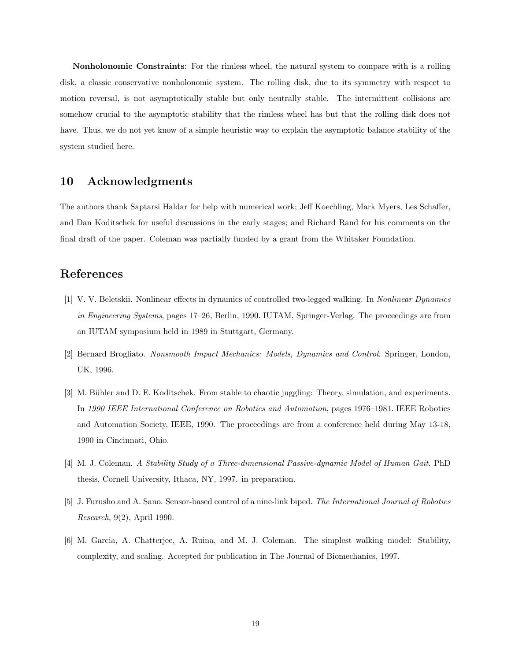**Nonholonomic Constraints**: For the rimless wheel, the natural system to compare with is a rolling disk, a classic conservative nonholonomic system. The rolling disk, due to its symmetry with respect to motion reversal, is not asymptotically stable but only neutrally stable. The intermittent collisions are somehow crucial to the asymptotic stability that the rimless wheel has but that the rolling disk does not have. Thus, we do not yet know of a simple heuristic way to explain the asymptotic balance stability of the system studied here.

## **10 Acknowledgments**

The authors thank Saptarsi Haldar for help with numerical work; Jeff Koechling, Mark Myers, Les Schaffer, and Dan Koditschek for useful discussions in the early stages; and Richard Rand for his comments on the final draft of the paper. Coleman was partially funded by a grant from the Whitaker Foundation.

# **References**

- [1] V. V. Beletskii. Nonlinear effects in dynamics of controlled two-legged walking. In Nonlinear Dynamics in Engineering Systems, pages 17–26, Berlin, 1990. IUTAM, Springer-Verlag. The proceedings are from an IUTAM symposium held in 1989 in Stuttgart, Germany.
- [2] Bernard Brogliato. Nonsmooth Impact Mechanics: Models, Dynamics and Control. Springer, London, UK, 1996.
- [3] M. Bühler and D. E. Koditschek. From stable to chaotic juggling: Theory, simulation, and experiments. In 1990 IEEE International Conference on Robotics and Automation, pages 1976–1981. IEEE Robotics and Automation Society, IEEE, 1990. The proceedings are from a conference held during May 13-18, 1990 in Cincinnati, Ohio.
- [4] M. J. Coleman. A Stability Study of a Three-dimensional Passive-dynamic Model of Human Gait. PhD thesis, Cornell University, Ithaca, NY, 1997. in preparation.
- [5] J. Furusho and A. Sano. Sensor-based control of a nine-link biped. The International Journal of Robotics Research, 9(2), April 1990.
- [6] M. Garcia, A. Chatterjee, A. Ruina, and M. J. Coleman. The simplest walking model: Stability, complexity, and scaling. Accepted for publication in The Journal of Biomechanics, 1997.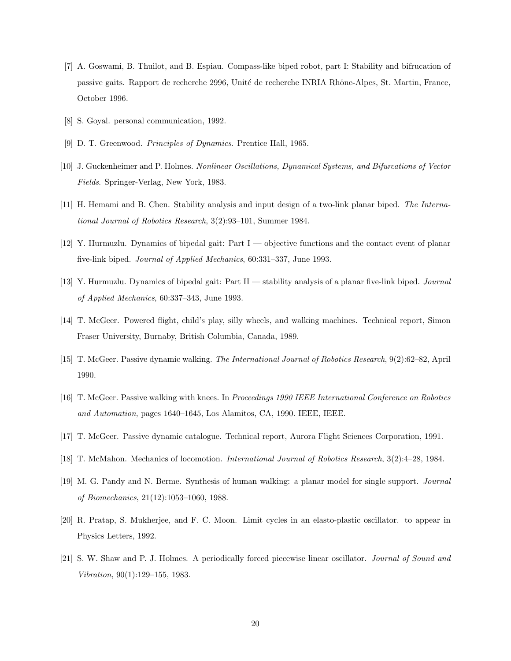- [7] A. Goswami, B. Thuilot, and B. Espiau. Compass-like biped robot, part I: Stability and bifrucation of passive gaits. Rapport de recherche 2996, Unité de recherche INRIA Rhône-Alpes, St. Martin, France, October 1996.
- [8] S. Goyal. personal communication, 1992.
- [9] D. T. Greenwood. Principles of Dynamics. Prentice Hall, 1965.
- [10] J. Guckenheimer and P. Holmes. Nonlinear Oscillations, Dynamical Systems, and Bifurcations of Vector Fields. Springer-Verlag, New York, 1983.
- [11] H. Hemami and B. Chen. Stability analysis and input design of a two-link planar biped. The International Journal of Robotics Research, 3(2):93–101, Summer 1984.
- [12] Y. Hurmuzlu. Dynamics of bipedal gait: Part I objective functions and the contact event of planar five-link biped. Journal of Applied Mechanics, 60:331–337, June 1993.
- [13] Y. Hurmuzlu. Dynamics of bipedal gait: Part II stability analysis of a planar five-link biped. Journal of Applied Mechanics, 60:337–343, June 1993.
- [14] T. McGeer. Powered flight, child's play, silly wheels, and walking machines. Technical report, Simon Fraser University, Burnaby, British Columbia, Canada, 1989.
- [15] T. McGeer. Passive dynamic walking. The International Journal of Robotics Research, 9(2):62–82, April 1990.
- [16] T. McGeer. Passive walking with knees. In Proceedings 1990 IEEE International Conference on Robotics and Automation, pages 1640–1645, Los Alamitos, CA, 1990. IEEE, IEEE.
- [17] T. McGeer. Passive dynamic catalogue. Technical report, Aurora Flight Sciences Corporation, 1991.
- [18] T. McMahon. Mechanics of locomotion. International Journal of Robotics Research, 3(2):4–28, 1984.
- [19] M. G. Pandy and N. Berme. Synthesis of human walking: a planar model for single support. Journal of Biomechanics, 21(12):1053–1060, 1988.
- [20] R. Pratap, S. Mukherjee, and F. C. Moon. Limit cycles in an elasto-plastic oscillator. to appear in Physics Letters, 1992.
- [21] S. W. Shaw and P. J. Holmes. A periodically forced piecewise linear oscillator. Journal of Sound and Vibration, 90(1):129–155, 1983.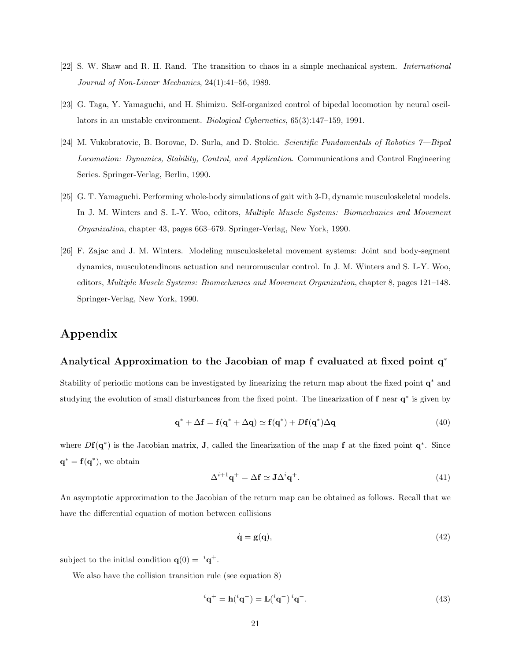- [22] S. W. Shaw and R. H. Rand. The transition to chaos in a simple mechanical system. International Journal of Non-Linear Mechanics, 24(1):41–56, 1989.
- [23] G. Taga, Y. Yamaguchi, and H. Shimizu. Self-organized control of bipedal locomotion by neural oscillators in an unstable environment. Biological Cybernetics, 65(3):147–159, 1991.
- [24] M. Vukobratovic, B. Borovac, D. Surla, and D. Stokic. Scientific Fundamentals of Robotics 7—Biped Locomotion: Dynamics, Stability, Control, and Application. Communications and Control Engineering Series. Springer-Verlag, Berlin, 1990.
- [25] G. T. Yamaguchi. Performing whole-body simulations of gait with 3-D, dynamic musculoskeletal models. In J. M. Winters and S. L-Y. Woo, editors, Multiple Muscle Systems: Biomechanics and Movement Organization, chapter 43, pages 663–679. Springer-Verlag, New York, 1990.
- [26] F. Zajac and J. M. Winters. Modeling musculoskeletal movement systems: Joint and body-segment dynamics, musculotendinous actuation and neuromuscular control. In J. M. Winters and S. L-Y. Woo, editors, Multiple Muscle Systems: Biomechanics and Movement Organization, chapter 8, pages 121–148. Springer-Verlag, New York, 1990.

# **Appendix**

## **Analytical Approximation to the Jacobian of map f evaluated at fixed point q**<sup>∗</sup>

Stability of periodic motions can be investigated by linearizing the return map about the fixed point **q**<sup>∗</sup> and studying the evolution of small disturbances from the fixed point. The linearization of **f** near **q**<sup>∗</sup> is given by

$$
\mathbf{q}^* + \Delta \mathbf{f} = \mathbf{f}(\mathbf{q}^* + \Delta \mathbf{q}) \simeq \mathbf{f}(\mathbf{q}^*) + D\mathbf{f}(\mathbf{q}^*) \Delta \mathbf{q}
$$
\n(40)

where *D***f**(**q**∗) is the Jacobian matrix, **J**, called the linearization of the map **f** at the fixed point **q**∗. Since  $\mathbf{q}^* = \mathbf{f}(\mathbf{q}^*)$ , we obtain

$$
\Delta^{i+1}\mathbf{q}^+ = \Delta \mathbf{f} \simeq \mathbf{J} \Delta^i \mathbf{q}^+. \tag{41}
$$

An asymptotic approximation to the Jacobian of the return map can be obtained as follows. Recall that we have the differential equation of motion between collisions

$$
\dot{\mathbf{q}} = \mathbf{g}(\mathbf{q}),\tag{42}
$$

subject to the initial condition  $\mathbf{q}(0) = i\mathbf{q}^+$ .

We also have the collision transition rule (see equation 8)

$$
{}^{i}\mathbf{q}^{+} = \mathbf{h}({}^{i}\mathbf{q}^{-}) = \mathbf{L}({}^{i}\mathbf{q}^{-}) \, {}^{i}\mathbf{q}^{-}.
$$
\n
$$
\tag{43}
$$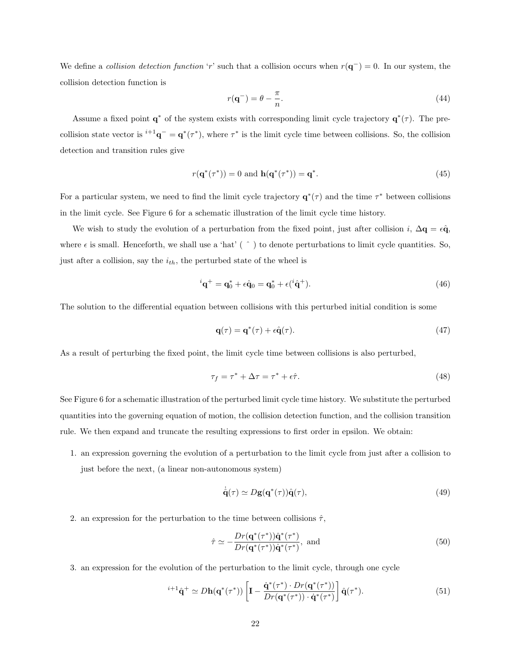We define a collision detection function '*r*' such that a collision occurs when *r*(**q**−) = 0. In our system, the collision detection function is

$$
r(\mathbf{q}^-) = \theta - \frac{\pi}{n}.\tag{44}
$$

Assume a fixed point  $\mathbf{q}^*$  of the system exists with corresponding limit cycle trajectory  $\mathbf{q}^*(\tau)$ . The precollision state vector is  $i+1\mathbf{q}^- = \mathbf{q}^*(\tau^*)$ , where  $\tau^*$  is the limit cycle time between collisions. So, the collision detection and transition rules give

$$
r(\mathbf{q}^*(\tau^*)) = 0 \text{ and } \mathbf{h}(\mathbf{q}^*(\tau^*)) = \mathbf{q}^*.
$$
 (45)

For a particular system, we need to find the limit cycle trajectory  $\mathbf{q}^*(\tau)$  and the time  $\tau^*$  between collisions in the limit cycle. See Figure 6 for a schematic illustration of the limit cycle time history.

We wish to study the evolution of a perturbation from the fixed point, just after collision *i*,  $\Delta \mathbf{q} = \epsilon \hat{\mathbf{q}}$ , where  $\epsilon$  is small. Henceforth, we shall use a 'hat' ( $\hat{ }$ ) to denote perturbations to limit cycle quantities. So, just after a collision, say the *ith*, the perturbed state of the wheel is

$$
{}^{i}\mathbf{q}^{+} = \mathbf{q}_{0}^{*} + \epsilon \hat{\mathbf{q}}_{0} = \mathbf{q}_{0}^{*} + \epsilon ({}^{i}\hat{\mathbf{q}}^{+}). \tag{46}
$$

The solution to the differential equation between collisions with this perturbed initial condition is some

$$
\mathbf{q}(\tau) = \mathbf{q}^*(\tau) + \epsilon \hat{\mathbf{q}}(\tau). \tag{47}
$$

As a result of perturbing the fixed point, the limit cycle time between collisions is also perturbed,

$$
\tau_f = \tau^* + \Delta \tau = \tau^* + \epsilon \hat{\tau}.\tag{48}
$$

See Figure 6 for a schematic illustration of the perturbed limit cycle time history. We substitute the perturbed quantities into the governing equation of motion, the collision detection function, and the collision transition rule. We then expand and truncate the resulting expressions to first order in epsilon. We obtain:

1. an expression governing the evolution of a perturbation to the limit cycle from just after a collision to just before the next, (a linear non-autonomous system)

$$
\dot{\hat{\mathbf{q}}}(\tau) \simeq D\mathbf{g}(\mathbf{q}^*(\tau))\hat{\mathbf{q}}(\tau),\tag{49}
$$

2. an expression for the perturbation to the time between collisions  $\hat{\tau}$ ,

$$
\hat{\tau} \simeq -\frac{Dr(\mathbf{q}^*(\tau^*))\hat{\mathbf{q}}^*(\tau^*)}{Dr(\mathbf{q}^*(\tau^*))\dot{\mathbf{q}}^*(\tau^*)}, \text{ and } (50)
$$

3. an expression for the evolution of the perturbation to the limit cycle, through one cycle

$$
{}^{i+1}\hat{\mathbf{q}}^+ \simeq D\mathbf{h}(\mathbf{q}^*(\tau^*)) \left[ \mathbf{I} - \frac{\dot{\mathbf{q}}^*(\tau^*) \cdot Dr(\mathbf{q}^*(\tau^*))}{Dr(\mathbf{q}^*(\tau^*)) \cdot \dot{\mathbf{q}}^*(\tau^*)} \right] \hat{\mathbf{q}}(\tau^*). \tag{51}
$$